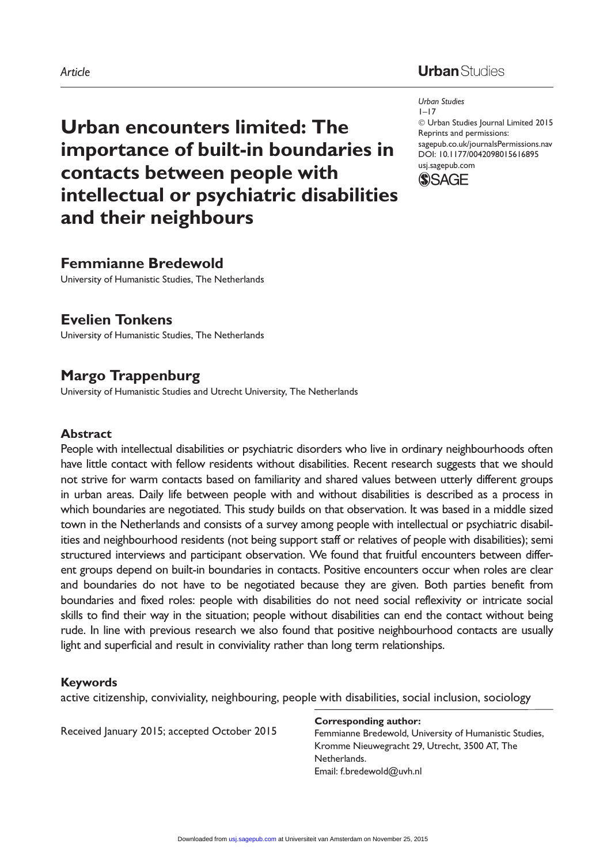# Urban encounters limited: The importance of built-in boundaries in contacts between people with intellectual or psychiatric disabilities and their neighbours

# **Urban** Studies

Urban Studies  $1 - 17$ - Urban Studies Journal Limited 2015 Reprints and permissions: sagepub.co.uk/journalsPermissions.nav DOI: 10.1177/0042098015616895 usj.sagepub.com **SSAGE** 

Femmianne Bredewold

University of Humanistic Studies, The Netherlands

## Evelien Tonkens

University of Humanistic Studies, The Netherlands

# Margo Trappenburg

University of Humanistic Studies and Utrecht University, The Netherlands

## Abstract

People with intellectual disabilities or psychiatric disorders who live in ordinary neighbourhoods often have little contact with fellow residents without disabilities. Recent research suggests that we should not strive for warm contacts based on familiarity and shared values between utterly different groups in urban areas. Daily life between people with and without disabilities is described as a process in which boundaries are negotiated. This study builds on that observation. It was based in a middle sized town in the Netherlands and consists of a survey among people with intellectual or psychiatric disabilities and neighbourhood residents (not being support staff or relatives of people with disabilities); semi structured interviews and participant observation. We found that fruitful encounters between different groups depend on built-in boundaries in contacts. Positive encounters occur when roles are clear and boundaries do not have to be negotiated because they are given. Both parties benefit from boundaries and fixed roles: people with disabilities do not need social reflexivity or intricate social skills to find their way in the situation; people without disabilities can end the contact without being rude. In line with previous research we also found that positive neighbourhood contacts are usually light and superficial and result in conviviality rather than long term relationships.

#### Keywords

active citizenship, conviviality, nei[ghbouring,](http://usj.sagepub.com/) people with disabilities, social inclusion, sociology

Received January 2015; accepted October 2015

Corresponding author: Femmianne Bredewold, University of Humanistic Studies, Kromme Nieuwegracht 29, Utrecht, 3500 AT, The Netherlands. Email: f.bredewold@uvh.nl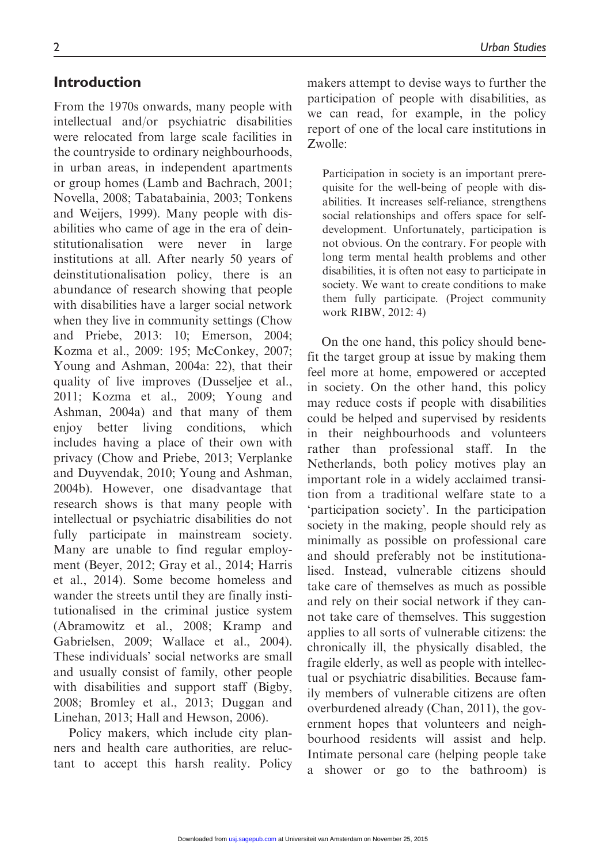## Introduction

From the 1970s onwards, many people with intellectual and/or psychiatric disabilities were relocated from large scale facilities in the countryside to ordinary neighbourhoods, in urban areas, in independent apartments or group homes (Lamb and Bachrach, 2001; Novella, 2008; Tabatabainia, 2003; Tonkens and Weijers, 1999). Many people with disabilities who came of age in the era of deinstitutionalisation were never in large institutions at all. After nearly 50 years of deinstitutionalisation policy, there is an abundance of research showing that people with disabilities have a larger social network when they live in community settings (Chow and Priebe, 2013: 10; Emerson, 2004; Kozma et al., 2009: 195; McConkey, 2007; Young and Ashman, 2004a: 22), that their quality of live improves (Dusseljee et al., 2011; Kozma et al., 2009; Young and Ashman, 2004a) and that many of them enjoy better living conditions, which includes having a place of their own with privacy (Chow and Priebe, 2013; Verplanke and Duyvendak, 2010; Young and Ashman, 2004b). However, one disadvantage that research shows is that many people with intellectual or psychiatric disabilities do not fully participate in mainstream society. Many are unable to find regular employment (Beyer, 2012; Gray et al., 2014; Harris et al., 2014). Some become homeless and wander the streets until they are finally institutionalised in the criminal justice system (Abramowitz et al., 2008; Kramp and Gabrielsen, 2009; Wallace et al., 2004). These individuals' social networks are small and usually consist of family, other people with disabilities and support staff (Bigby, 2008; Bromley et al., 2013; [Duggan a](http://usj.sagepub.com/)nd Linehan, 2013; Hall and Hewson, 2006).

Policy makers, which include city planners and health care authorities, are reluctant to accept this harsh reality. Policy makers attempt to devise ways to further the participation of people with disabilities, as we can read, for example, in the policy report of one of the local care institutions in Zwolle:

Participation in society is an important prerequisite for the well-being of people with disabilities. It increases self-reliance, strengthens social relationships and offers space for selfdevelopment. Unfortunately, participation is not obvious. On the contrary. For people with long term mental health problems and other disabilities, it is often not easy to participate in society. We want to create conditions to make them fully participate. (Project community work RIBW, 2012: 4)

On the one hand, this policy should benefit the target group at issue by making them feel more at home, empowered or accepted in society. On the other hand, this policy may reduce costs if people with disabilities could be helped and supervised by residents in their neighbourhoods and volunteers rather than professional staff. In the Netherlands, both policy motives play an important role in a widely acclaimed transition from a traditional welfare state to a 'participation society'. In the participation society in the making, people should rely as minimally as possible on professional care and should preferably not be institutionalised. Instead, vulnerable citizens should take care of themselves as much as possible and rely on their social network if they cannot take care of themselves. This suggestion applies to all sorts of vulnerable citizens: the chronically ill, the physically disabled, the fragile elderly, as well as people with intellectual or psychiatric disabilities. Because family members of vulnerable citizens are often overburdened already (Chan, 2011), the government hopes that volunteers and neighbourhood residents will assist and help. Intimate personal care (helping people take a shower or go to the bathroom) is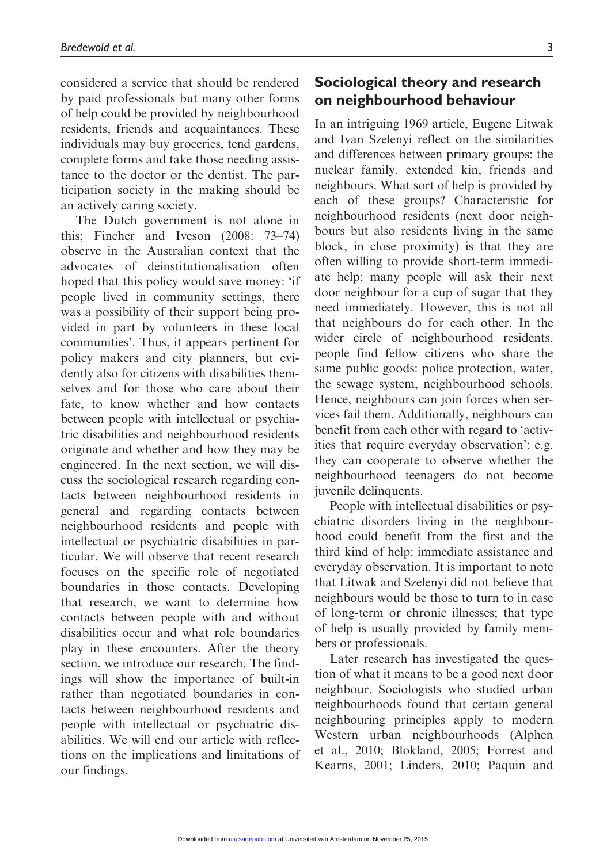considered a service that should be rendered by paid professionals but many other forms of help could be provided by neighbourhood residents, friends and acquaintances. These individuals may buy groceries, tend gardens, complete forms and take those needing assistance to the doctor or the dentist. The participation society in the making should be an actively caring society.

The Dutch government is not alone in this; Fincher and Iveson (2008: 73–74) observe in the Australian context that the advocates of deinstitutionalisation often hoped that this policy would save money: 'if people lived in community settings, there was a possibility of their support being provided in part by volunteers in these local communities'. Thus, it appears pertinent for policy makers and city planners, but evidently also for citizens with disabilities themselves and for those who care about their fate, to know whether and how contacts between people with intellectual or psychiatric disabilities and neighbourhood residents originate and whether and how they may be engineered. In the next section, we will discuss the sociological research regarding contacts between neighbourhood residents in general and regarding contacts between neighbourhood residents and people with intellectual or psychiatric disabilities in particular. We will observe that recent research focuses on the specific role of negotiated boundaries in those contacts. Developing that research, we want to determine how contacts between people with and without disabilities occur and what role boundaries play in these encounters. After the theory section, we introduce our research. The findings will show the importance of built-in rather than negotiated boundaries in contacts between neighbourhood [residents](http://usj.sagepub.com/) and people with intellectual or psychiatric disabilities. We will end our article with reflections on the implications and limitations of our findings.

# Sociological theory and research on neighbourhood behaviour

In an intriguing 1969 article, Eugene Litwak and Ivan Szelenyi reflect on the similarities and differences between primary groups: the nuclear family, extended kin, friends and neighbours. What sort of help is provided by each of these groups? Characteristic for neighbourhood residents (next door neighbours but also residents living in the same block, in close proximity) is that they are often willing to provide short-term immediate help; many people will ask their next door neighbour for a cup of sugar that they need immediately. However, this is not all that neighbours do for each other. In the wider circle of neighbourhood residents, people find fellow citizens who share the same public goods: police protection, water, the sewage system, neighbourhood schools. Hence, neighbours can join forces when services fail them. Additionally, neighbours can benefit from each other with regard to 'activities that require everyday observation'; e.g. they can cooperate to observe whether the neighbourhood teenagers do not become juvenile delinquents.

People with intellectual disabilities or psychiatric disorders living in the neighbourhood could benefit from the first and the third kind of help: immediate assistance and everyday observation. It is important to note that Litwak and Szelenyi did not believe that neighbours would be those to turn to in case of long-term or chronic illnesses; that type of help is usually provided by family members or professionals.

Later research has investigated the question of what it means to be a good next door neighbour. Sociologists who studied urban neighbourhoods found that certain general neighbouring principles apply to modern Western urban neighbourhoods (Alphen et al., 2010; Blokland, 2005; Forrest and Kearns, 2001; Linders, 2010; Paquin and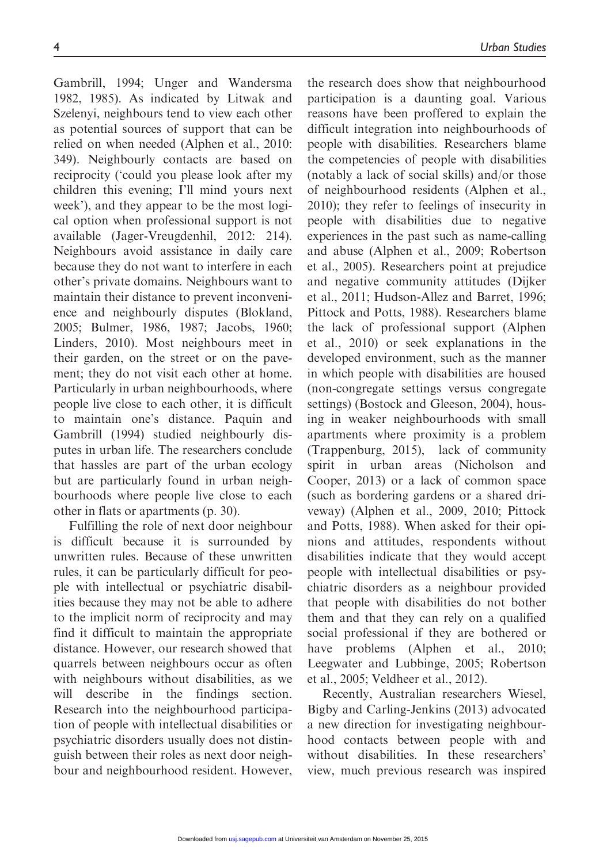Gambrill, 1994; Unger and Wandersma 1982, 1985). As indicated by Litwak and Szelenyi, neighbours tend to view each other as potential sources of support that can be relied on when needed (Alphen et al., 2010: 349). Neighbourly contacts are based on reciprocity ('could you please look after my children this evening; I'll mind yours next week'), and they appear to be the most logical option when professional support is not available (Jager-Vreugdenhil, 2012: 214). Neighbours avoid assistance in daily care because they do not want to interfere in each other's private domains. Neighbours want to maintain their distance to prevent inconvenience and neighbourly disputes (Blokland, 2005; Bulmer, 1986, 1987; Jacobs, 1960; Linders, 2010). Most neighbours meet in their garden, on the street or on the pavement; they do not visit each other at home. Particularly in urban neighbourhoods, where people live close to each other, it is difficult to maintain one's distance. Paquin and Gambrill (1994) studied neighbourly disputes in urban life. The researchers conclude that hassles are part of the urban ecology but are particularly found in urban neighbourhoods where people live close to each other in flats or apartments (p. 30).

Fulfilling the role of next door neighbour is difficult because it is surrounded by unwritten rules. Because of these unwritten rules, it can be particularly difficult for people with intellectual or psychiatric disabilities because they may not be able to adhere to the implicit norm of reciprocity and may find it difficult to maintain the appropriate distance. However, our research showed that quarrels between neighbours occur as often with neighbours without disabilities, as we will describe in the findings section. Research into the neighbourho[od](http://usj.sagepub.com/) [particip](http://usj.sagepub.com/)ation of people with intellectual disabilities or psychiatric disorders usually does not distinguish between their roles as next door neighbour and neighbourhood resident. However,

the research does show that neighbourhood participation is a daunting goal. Various reasons have been proffered to explain the difficult integration into neighbourhoods of people with disabilities. Researchers blame the competencies of people with disabilities (notably a lack of social skills) and/or those of neighbourhood residents (Alphen et al., 2010); they refer to feelings of insecurity in people with disabilities due to negative experiences in the past such as name-calling and abuse (Alphen et al., 2009; Robertson et al., 2005). Researchers point at prejudice and negative community attitudes (Dijker et al., 2011; Hudson-Allez and Barret, 1996; Pittock and Potts, 1988). Researchers blame the lack of professional support (Alphen et al., 2010) or seek explanations in the developed environment, such as the manner in which people with disabilities are housed (non-congregate settings versus congregate settings) (Bostock and Gleeson, 2004), housing in weaker neighbourhoods with small apartments where proximity is a problem (Trappenburg, 2015), lack of community spirit in urban areas (Nicholson and Cooper, 2013) or a lack of common space (such as bordering gardens or a shared driveway) (Alphen et al., 2009, 2010; Pittock and Potts, 1988). When asked for their opinions and attitudes, respondents without disabilities indicate that they would accept people with intellectual disabilities or psychiatric disorders as a neighbour provided that people with disabilities do not bother them and that they can rely on a qualified social professional if they are bothered or have problems (Alphen et al., 2010; Leegwater and Lubbinge, 2005; Robertson et al., 2005; Veldheer et al., 2012).

Recently, Australian researchers Wiesel, Bigby and Carling-Jenkins (2013) advocated a new direction for investigating neighbourhood contacts between people with and without disabilities. In these researchers' view, much previous research was inspired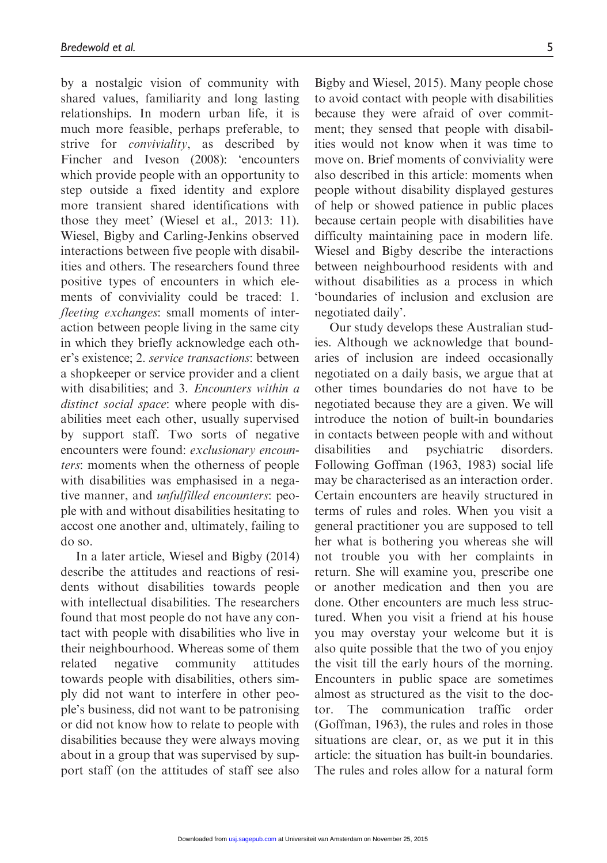by a nostalgic vision of community with shared values, familiarity and long lasting relationships. In modern urban life, it is much more feasible, perhaps preferable, to strive for conviviality, as described by Fincher and Iveson (2008): 'encounters which provide people with an opportunity to step outside a fixed identity and explore more transient shared identifications with those they meet' (Wiesel et al., 2013: 11). Wiesel, Bigby and Carling-Jenkins observed interactions between five people with disabilities and others. The researchers found three positive types of encounters in which elements of conviviality could be traced: 1. fleeting exchanges: small moments of interaction between people living in the same city in which they briefly acknowledge each other's existence; 2. service transactions: between a shopkeeper or service provider and a client with disabilities; and 3. Encounters within a distinct social space: where people with disabilities meet each other, usually supervised by support staff. Two sorts of negative encounters were found: exclusionary encounters: moments when the otherness of people with disabilities was emphasised in a negative manner, and unfulfilled encounters: people with and without disabilities hesitating to accost one another and, ultimately, failing to do so.

In a later article, Wiesel and Bigby (2014) describe the attitudes and reactions of residents without disabilities towards people with intellectual disabilities. The researchers found that most people do not have any contact with people with disabilities who live in their neighbourhood. Whereas some of them related negative community attitudes towards people with disabilities, others simply did not want to interfere in other people's business, did not want to [be](http://usj.sagepub.com/) [patronis](http://usj.sagepub.com/)ing or did not know how to relate to people with disabilities because they were always moving about in a group that was supervised by support staff (on the attitudes of staff see also Bigby and Wiesel, 2015). Many people chose to avoid contact with people with disabilities because they were afraid of over commitment; they sensed that people with disabilities would not know when it was time to move on. Brief moments of conviviality were also described in this article: moments when people without disability displayed gestures of help or showed patience in public places because certain people with disabilities have difficulty maintaining pace in modern life. Wiesel and Bigby describe the interactions between neighbourhood residents with and without disabilities as a process in which 'boundaries of inclusion and exclusion are negotiated daily'.

Our study develops these Australian studies. Although we acknowledge that boundaries of inclusion are indeed occasionally negotiated on a daily basis, we argue that at other times boundaries do not have to be negotiated because they are a given. We will introduce the notion of built-in boundaries in contacts between people with and without disabilities and psychiatric disorders. Following Goffman (1963, 1983) social life may be characterised as an interaction order. Certain encounters are heavily structured in terms of rules and roles. When you visit a general practitioner you are supposed to tell her what is bothering you whereas she will not trouble you with her complaints in return. She will examine you, prescribe one or another medication and then you are done. Other encounters are much less structured. When you visit a friend at his house you may overstay your welcome but it is also quite possible that the two of you enjoy the visit till the early hours of the morning. Encounters in public space are sometimes almost as structured as the visit to the doctor. The communication traffic order (Goffman, 1963), the rules and roles in those situations are clear, or, as we put it in this article: the situation has built-in boundaries. The rules and roles allow for a natural form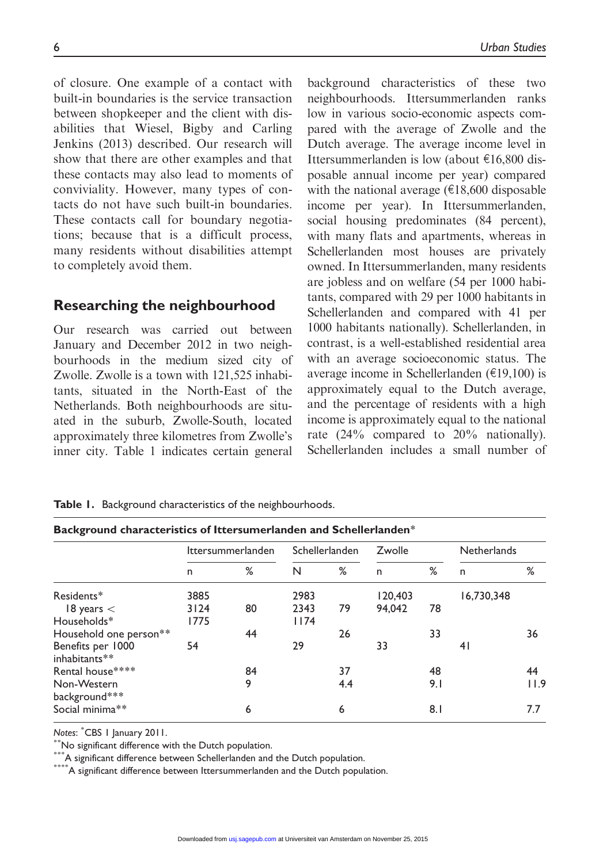of closure. One example of a contact with built-in boundaries is the service transaction between shopkeeper and the client with disabilities that Wiesel, Bigby and Carling Jenkins (2013) described. Our research will show that there are other examples and that these contacts may also lead to moments of conviviality. However, many types of contacts do not have such built-in boundaries. These contacts call for boundary negotiations; because that is a difficult process, many residents without disabilities attempt to completely avoid them.

# Researching the neighbourhood

Our research was carried out between January and December 2012 in two neighbourhoods in the medium sized city of Zwolle. Zwolle is a town with 121,525 inhabitants, situated in the North-East of the Netherlands. Both neighbourhoods are situated in the suburb, Zwolle-South, located approximately three kilometres from Zwolle's inner city. Table 1 indicates certain general

background characteristics of these two neighbourhoods. Ittersummerlanden ranks low in various socio-economic aspects compared with the average of Zwolle and the Dutch average. The average income level in Ittersummerlanden is low (about  $\epsilon$ 16,800 disposable annual income per year) compared with the national average  $(\text{\textsterling}18,600 \text{ dispose})$ income per year). In Ittersummerlanden, social housing predominates (84 percent), with many flats and apartments, whereas in Schellerlanden most houses are privately owned. In Ittersummerlanden, many residents are jobless and on welfare (54 per 1000 habitants, compared with 29 per 1000 habitants in Schellerlanden and compared with 41 per 1000 habitants nationally). Schellerlanden, in contrast, is a well-established residential area with an average socioeconomic status. The average income in Schellerlanden ( $\epsilon$ 19,100) is approximately equal to the Dutch average, and the percentage of residents with a high income is approximately equal to the national rate (24% compared to 20% nationally). Schellerlanden includes a small number of

|  |  |  |  | Table 1. Background characteristics of the neighbourhoods. |
|--|--|--|--|------------------------------------------------------------|
|--|--|--|--|------------------------------------------------------------|

|                                    | Ittersummerlanden |    | Schellerlanden |     | Zwolle  |     | <b>Netherlands</b> |      |
|------------------------------------|-------------------|----|----------------|-----|---------|-----|--------------------|------|
|                                    | n                 | %  | N              | %   | n       | ℅   | n                  | %    |
| Residents*                         | 3885              |    | 2983           |     | 120.403 |     | 16,730,348         |      |
| 18 years $<$                       | 3124              | 80 | 2343           | 79  | 94.042  | 78  |                    |      |
| Households*                        | 1775              |    | 1174           |     |         |     |                    |      |
| Household one person**             |                   | 44 |                | 26  |         | 33  |                    | 36   |
| Benefits per 1000<br>inhabitants** | 54                |    | 29             |     | 33      |     | 41                 |      |
| Rental house****                   |                   | 84 |                | 37  |         | 48  |                    | 44   |
| Non-Western<br>background***       |                   | 9  |                | 4.4 |         | 9.1 |                    | 11.9 |
| Social minima**                    |                   | 6  |                | 6   |         | 8.1 |                    | 7.7  |

Notes: CBS I January 2011.

<sup>\*</sup>No significant difference with the Dutch population.

\*A significant difference between Schellerlanden and the Dutch population.<br>\*\*A significant difference between Ittersummerlanden and the Dutch population.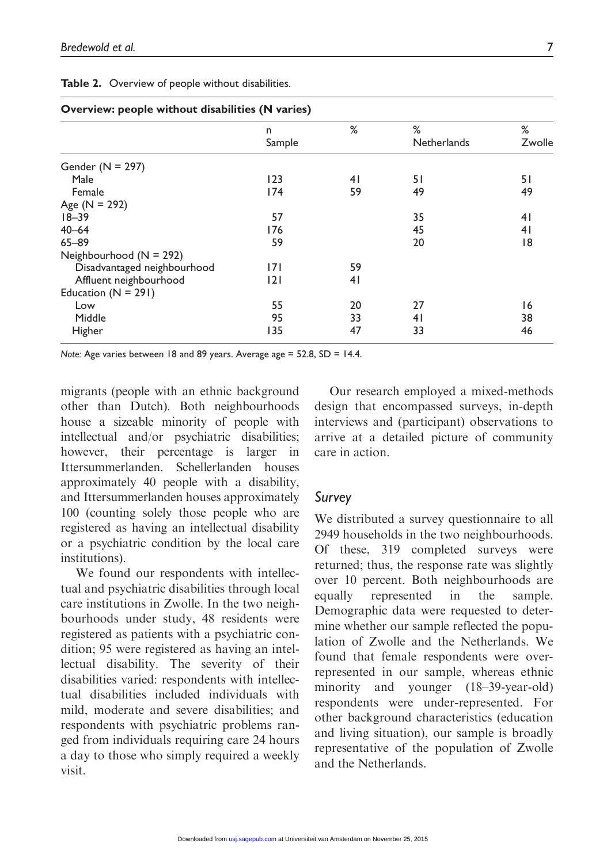|  |  |  |  | Table 2. Overview of people without disabilities. |
|--|--|--|--|---------------------------------------------------|
|--|--|--|--|---------------------------------------------------|

#### Overview: people without disabilities (N varies)

|                             | n      | %  | %                  | %              |
|-----------------------------|--------|----|--------------------|----------------|
|                             | Sample |    | <b>Netherlands</b> | Zwolle         |
| Gender (N = 297)            |        |    |                    |                |
| Male                        | 123    | 41 | 51                 | 51             |
| Female                      | 174    | 59 | 49                 | 49             |
| Age ( $N = 292$ )           |        |    |                    |                |
| $18 - 39$                   | 57     |    | 35                 | 41             |
| $40 - 64$                   | 176    |    | 45                 | 4 <sub>l</sub> |
| $65 - 89$                   | 59     |    | 20                 | 18             |
| Neighbourhood (N = 292)     |        |    |                    |                |
| Disadvantaged neighbourhood | 171    | 59 |                    |                |
| Affluent neighbourhood      | 2      | 41 |                    |                |
| Education $(N = 291)$       |        |    |                    |                |
| Low                         | 55     | 20 | 27                 | 16             |
| Middle                      | 95     | 33 | 41                 | 38             |
| Higher                      | 135    | 47 | 33                 | 46             |

Note: Age varies between 18 and 89 years. Average age = 52.8, SD = 14.4.

migrants (people with an ethnic background other than Dutch). Both neighbourhoods house a sizeable minority of people with intellectual and/or psychiatric disabilities; however, their percentage is larger in Ittersummerlanden. Schellerlanden houses approximately 40 people with a disability, and Ittersummerlanden houses approximately 100 (counting solely those people who are registered as having an intellectual disability or a psychiatric condition by the local care institutions).

We found our respondents with intellectual and psychiatric disabilities through local care institutions in Zwolle. In the two neighbourhoods under study, 48 residents were registered as patients with a psychiatric condition; 95 were registered as having an intellectual disability. The severity of their disabilities varied: respondents with intellectual disabilities included individuals with mild, moderate and severe di[sabilities;](http://usj.sagepub.com/) and respondents with psychiatric problems ranged from individuals requiring care 24 hours a day to those who simply required a weekly visit.

Our research employed a mixed-methods design that encompassed surveys, in-depth interviews and (participant) observations to arrive at a detailed picture of community care in action.

#### Survey

We distributed a survey questionnaire to all 2949 households in the two neighbourhoods. Of these, 319 completed surveys were returned; thus, the response rate was slightly over 10 percent. Both neighbourhoods are equally represented in the sample. Demographic data were requested to determine whether our sample reflected the population of Zwolle and the Netherlands. We found that female respondents were overrepresented in our sample, whereas ethnic minority and younger (18–39-year-old) respondents were under-represented. For other background characteristics (education and living situation), our sample is broadly representative of the population of Zwolle and the Netherlands.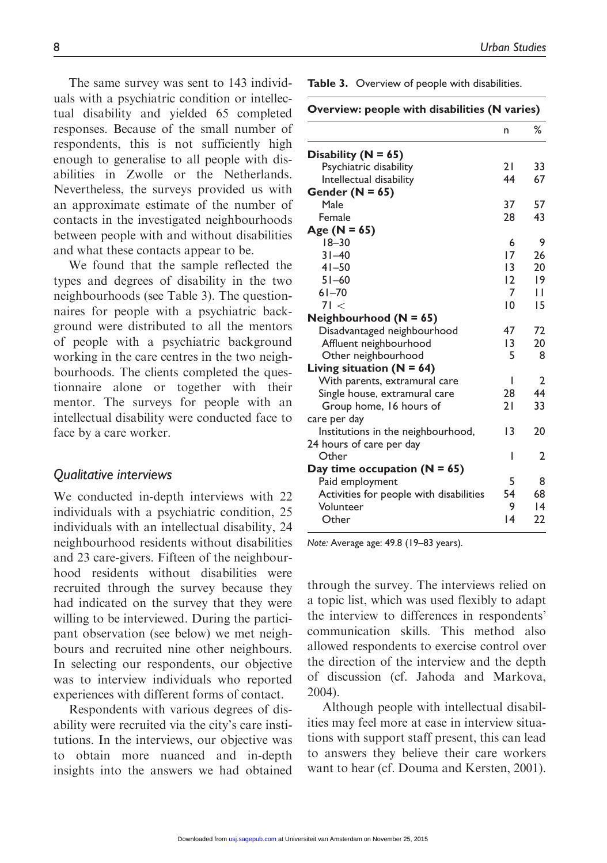The same survey was sent to 143 individuals with a psychiatric condition or intellectual disability and yielded 65 completed responses. Because of the small number of respondents, this is not sufficiently high enough to generalise to all people with disabilities in Zwolle or the Netherlands. Nevertheless, the surveys provided us with an approximate estimate of the number of contacts in the investigated neighbourhoods between people with and without disabilities and what these contacts appear to be.

We found that the sample reflected the types and degrees of disability in the two neighbourhoods (see Table 3). The questionnaires for people with a psychiatric background were distributed to all the mentors of people with a psychiatric background working in the care centres in the two neighbourhoods. The clients completed the questionnaire alone or together with their mentor. The surveys for people with an intellectual disability were conducted face to face by a care worker.

## Qualitative interviews

We conducted in-depth interviews with 22 individuals with a psychiatric condition, 25 individuals with an intellectual disability, 24 neighbourhood residents without disabilities and 23 care-givers. Fifteen of the neighbourhood residents without disabilities were recruited through the survey because they had indicated on the survey that they were willing to be interviewed. During the participant observation (see below) we met neighbours and recruited nine other neighbours. In selecting our respondents, our objective was to interview individuals who reported experiences with different forms of contact.

Respondents with various de[grees](http://usj.sagepub.com/) [of](http://usj.sagepub.com/) [d](http://usj.sagepub.com/)isability were recruited via the city's care institutions. In the interviews, our objective was to obtain more nuanced and in-depth insights into the answers we had obtained

| Overview: people with disabilities (N varies) |                 |    |  |  |
|-----------------------------------------------|-----------------|----|--|--|
|                                               | n               | ℅  |  |  |
| Disability ( $N = 65$ )                       |                 |    |  |  |
| Psychiatric disability                        | 21              | 33 |  |  |
| Intellectual disability                       | 44              | 67 |  |  |
| Gender $(N = 65)$                             |                 |    |  |  |
| Male                                          | 37              | 57 |  |  |
| Female                                        | 28              | 43 |  |  |
| Age ( $N = 65$ )                              |                 |    |  |  |
| $18 - 30$                                     | 6               | 9  |  |  |
| $31 - 40$                                     | 17              | 26 |  |  |
| $41 - 50$                                     | $\overline{13}$ | 20 |  |  |
| $51 - 60$                                     | 12              | 19 |  |  |
| $61 - 70$                                     | 7               | п  |  |  |
| 71 <                                          | $\overline{0}$  | 15 |  |  |
| Neighbourhood $(N = 65)$                      |                 |    |  |  |
| Disadvantaged neighbourhood                   | 47              | 72 |  |  |
| Affluent neighbourhood                        | $\overline{13}$ | 20 |  |  |
| Other neighbourhood                           | 5               | 8  |  |  |
| Living situation ( $N = 64$ )                 |                 |    |  |  |
| With parents, extramural care                 | ı               | 2  |  |  |
| Single house, extramural care                 | 28              | 44 |  |  |
| Group home, 16 hours of                       | 21              | 33 |  |  |
| care per day                                  |                 |    |  |  |
| Institutions in the neighbourhood,            | 13              | 20 |  |  |
| 24 hours of care per day                      |                 |    |  |  |
| Other                                         | ı               | 2  |  |  |
| Day time occupation $(N = 65)$                |                 |    |  |  |
| Paid employment                               | 5               | 8  |  |  |
| Activities for people with disabilities       | 54              | 68 |  |  |
| Volunteer                                     | 9               | 4  |  |  |
| Other                                         | 4               | 22 |  |  |

Note: Average age: 49.8 (19–83 years).

through the survey. The interviews relied on a topic list, which was used flexibly to adapt the interview to differences in respondents' communication skills. This method also allowed respondents to exercise control over the direction of the interview and the depth of discussion (cf. Jahoda and Markova, 2004).

Although people with intellectual disabilities may feel more at ease in interview situations with support staff present, this can lead to answers they believe their care workers want to hear (cf. Douma and Kersten, 2001).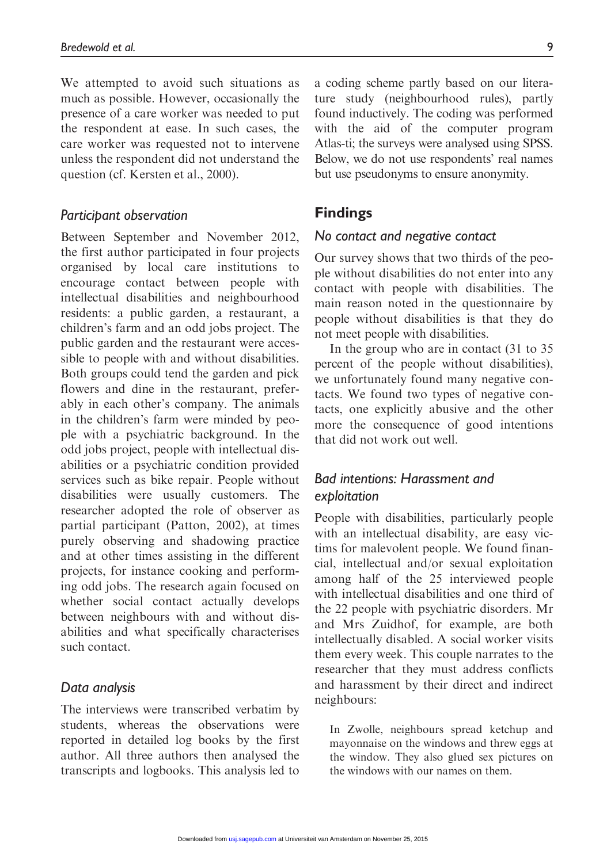We attempted to avoid such situations as much as possible. However, occasionally the presence of a care worker was needed to put the respondent at ease. In such cases, the care worker was requested not to intervene unless the respondent did not understand the question (cf. Kersten et al., 2000).

## Participant observation

Between September and November 2012, the first author participated in four projects organised by local care institutions to encourage contact between people with intellectual disabilities and neighbourhood residents: a public garden, a restaurant, a children's farm and an odd jobs project. The public garden and the restaurant were accessible to people with and without disabilities. Both groups could tend the garden and pick flowers and dine in the restaurant, preferably in each other's company. The animals in the children's farm were minded by people with a psychiatric background. In the odd jobs project, people with intellectual disabilities or a psychiatric condition provided services such as bike repair. People without disabilities were usually customers. The researcher adopted the role of observer as partial participant (Patton, 2002), at times purely observing and shadowing practice and at other times assisting in the different projects, for instance cooking and performing odd jobs. The research again focused on whether social contact actually develops between neighbours with and without disabilities and what specifically characterises such contact.

## Data analysis

The interviews were transcribe[d](http://usj.sagepub.com/) [verbatim](http://usj.sagepub.com/) by students, whereas the observations were reported in detailed log books by the first author. All three authors then analysed the transcripts and logbooks. This analysis led to a coding scheme partly based on our literature study (neighbourhood rules), partly found inductively. The coding was performed with the aid of the computer program Atlas-ti; the surveys were analysed using SPSS. Below, we do not use respondents' real names but use pseudonyms to ensure anonymity.

# Findings

# No contact and negative contact

Our survey shows that two thirds of the people without disabilities do not enter into any contact with people with disabilities. The main reason noted in the questionnaire by people without disabilities is that they do not meet people with disabilities.

In the group who are in contact (31 to 35 percent of the people without disabilities), we unfortunately found many negative contacts. We found two types of negative contacts, one explicitly abusive and the other more the consequence of good intentions that did not work out well.

# Bad intentions: Harassment and exploitation

People with disabilities, particularly people with an intellectual disability, are easy victims for malevolent people. We found financial, intellectual and/or sexual exploitation among half of the 25 interviewed people with intellectual disabilities and one third of the 22 people with psychiatric disorders. Mr and Mrs Zuidhof, for example, are both intellectually disabled. A social worker visits them every week. This couple narrates to the researcher that they must address conflicts and harassment by their direct and indirect neighbours:

In Zwolle, neighbours spread ketchup and mayonnaise on the windows and threw eggs at the window. They also glued sex pictures on the windows with our names on them.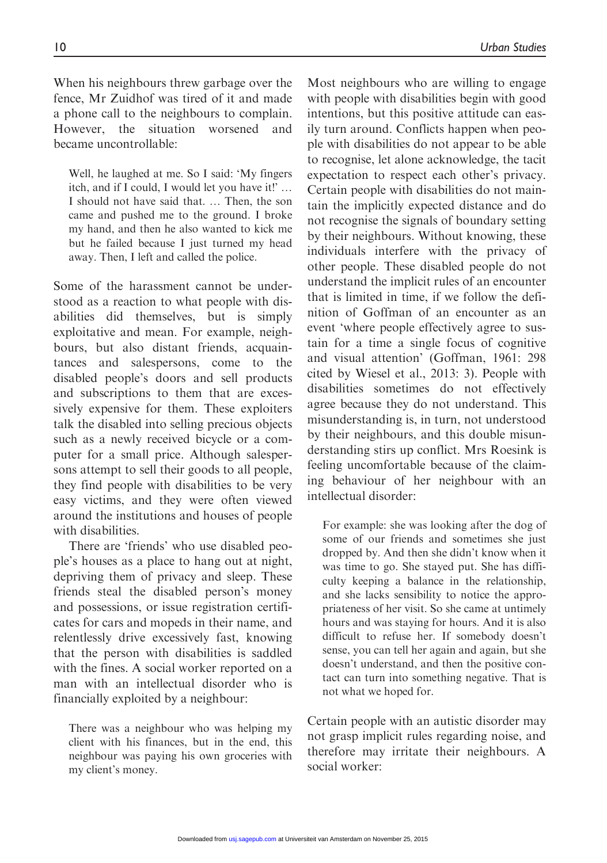When his neighbours threw garbage over the fence, Mr Zuidhof was tired of it and made a phone call to the neighbours to complain. However, the situation worsened and became uncontrollable:

Well, he laughed at me. So I said: 'My fingers itch, and if I could, I would let you have it!' . I should not have said that. ... Then, the son came and pushed me to the ground. I broke my hand, and then he also wanted to kick me but he failed because I just turned my head away. Then, I left and called the police.

Some of the harassment cannot be understood as a reaction to what people with disabilities did themselves, but is simply exploitative and mean. For example, neighbours, but also distant friends, acquaintances and salespersons, come to the disabled people's doors and sell products and subscriptions to them that are excessively expensive for them. These exploiters talk the disabled into selling precious objects such as a newly received bicycle or a computer for a small price. Although salespersons attempt to sell their goods to all people, they find people with disabilities to be very easy victims, and they were often viewed around the institutions and houses of people with disabilities.

There are 'friends' who use disabled people's houses as a place to hang out at night, depriving them of privacy and sleep. These friends steal the disabled person's money and possessions, or issue registration certificates for cars and mopeds in their name, and relentlessly drive excessively fast, knowing that the person with disabilities is saddled with the fines. A social worker reported on a man with an intellectual disorder who is financially exploited by a neighb[our:](http://usj.sagepub.com/)

There was a neighbour who was helping my client with his finances, but in the end, this neighbour was paying his own groceries with my client's money.

Most neighbours who are willing to engage with people with disabilities begin with good intentions, but this positive attitude can easily turn around. Conflicts happen when people with disabilities do not appear to be able to recognise, let alone acknowledge, the tacit expectation to respect each other's privacy. Certain people with disabilities do not maintain the implicitly expected distance and do not recognise the signals of boundary setting by their neighbours. Without knowing, these individuals interfere with the privacy of other people. These disabled people do not understand the implicit rules of an encounter that is limited in time, if we follow the definition of Goffman of an encounter as an event 'where people effectively agree to sustain for a time a single focus of cognitive and visual attention' (Goffman, 1961: 298 cited by Wiesel et al., 2013: 3). People with disabilities sometimes do not effectively agree because they do not understand. This misunderstanding is, in turn, not understood by their neighbours, and this double misunderstanding stirs up conflict. Mrs Roesink is feeling uncomfortable because of the claiming behaviour of her neighbour with an intellectual disorder:

For example: she was looking after the dog of some of our friends and sometimes she just dropped by. And then she didn't know when it was time to go. She stayed put. She has difficulty keeping a balance in the relationship, and she lacks sensibility to notice the appropriateness of her visit. So she came at untimely hours and was staying for hours. And it is also difficult to refuse her. If somebody doesn't sense, you can tell her again and again, but she doesn't understand, and then the positive contact can turn into something negative. That is not what we hoped for.

Certain people with an autistic disorder may not grasp implicit rules regarding noise, and therefore may irritate their neighbours. A social worker: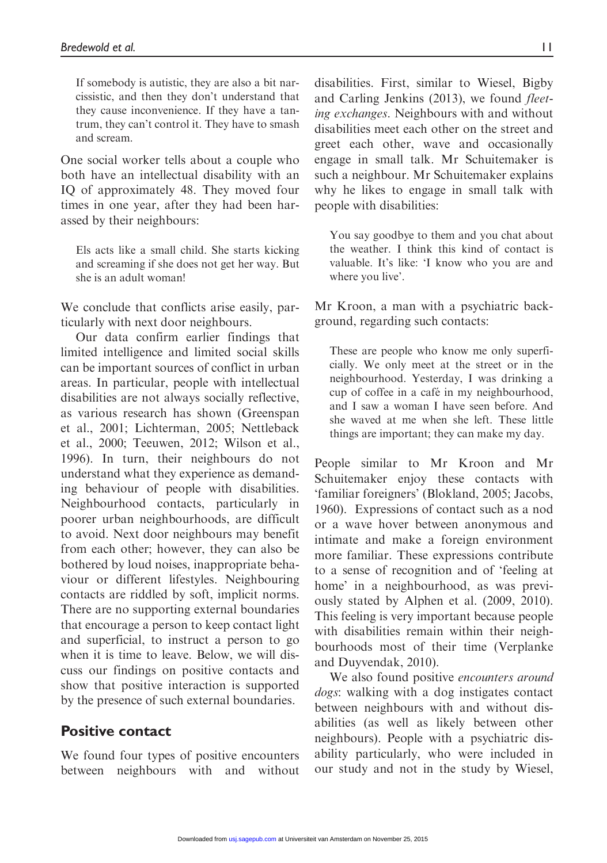If somebody is autistic, they are also a bit narcissistic, and then they don't understand that they cause inconvenience. If they have a tantrum, they can't control it. They have to smash and scream.

One social worker tells about a couple who both have an intellectual disability with an IQ of approximately 48. They moved four times in one year, after they had been harassed by their neighbours:

Els acts like a small child. She starts kicking and screaming if she does not get her way. But she is an adult woman!

We conclude that conflicts arise easily, particularly with next door neighbours.

Our data confirm earlier findings that limited intelligence and limited social skills can be important sources of conflict in urban areas. In particular, people with intellectual disabilities are not always socially reflective, as various research has shown (Greenspan et al., 2001; Lichterman, 2005; Nettleback et al., 2000; Teeuwen, 2012; Wilson et al., 1996). In turn, their neighbours do not understand what they experience as demanding behaviour of people with disabilities. Neighbourhood contacts, particularly in poorer urban neighbourhoods, are difficult to avoid. Next door neighbours may benefit from each other; however, they can also be bothered by loud noises, inappropriate behaviour or different lifestyles. Neighbouring contacts are riddled by soft, implicit norms. There are no supporting external boundaries that encourage a person to keep contact light and superficial, to instruct a person to go when it is time to leave. Below, we will discuss our findings on positive contacts and show that positive interaction is supported by the presence of such externa[l boundari](http://usj.sagepub.com/)es.

# Positive contact

We found four types of positive encounters between neighbours with and without disabilities. First, similar to Wiesel, Bigby and Carling Jenkins (2013), we found fleeting exchanges. Neighbours with and without disabilities meet each other on the street and greet each other, wave and occasionally engage in small talk. Mr Schuitemaker is such a neighbour. Mr Schuitemaker explains why he likes to engage in small talk with people with disabilities:

You say goodbye to them and you chat about the weather. I think this kind of contact is valuable. It's like: 'I know who you are and where you live'.

Mr Kroon, a man with a psychiatric background, regarding such contacts:

These are people who know me only superficially. We only meet at the street or in the neighbourhood. Yesterday, I was drinking a cup of coffee in a café in my neighbourhood, and I saw a woman I have seen before. And she waved at me when she left. These little things are important; they can make my day.

People similar to Mr Kroon and Mr Schuitemaker enjoy these contacts with 'familiar foreigners' (Blokland, 2005; Jacobs, 1960). Expressions of contact such as a nod or a wave hover between anonymous and intimate and make a foreign environment more familiar. These expressions contribute to a sense of recognition and of 'feeling at home' in a neighbourhood, as was previously stated by Alphen et al. (2009, 2010). This feeling is very important because people with disabilities remain within their neighbourhoods most of their time (Verplanke and Duyvendak, 2010).

We also found positive encounters around dogs: walking with a dog instigates contact between neighbours with and without disabilities (as well as likely between other neighbours). People with a psychiatric disability particularly, who were included in our study and not in the study by Wiesel,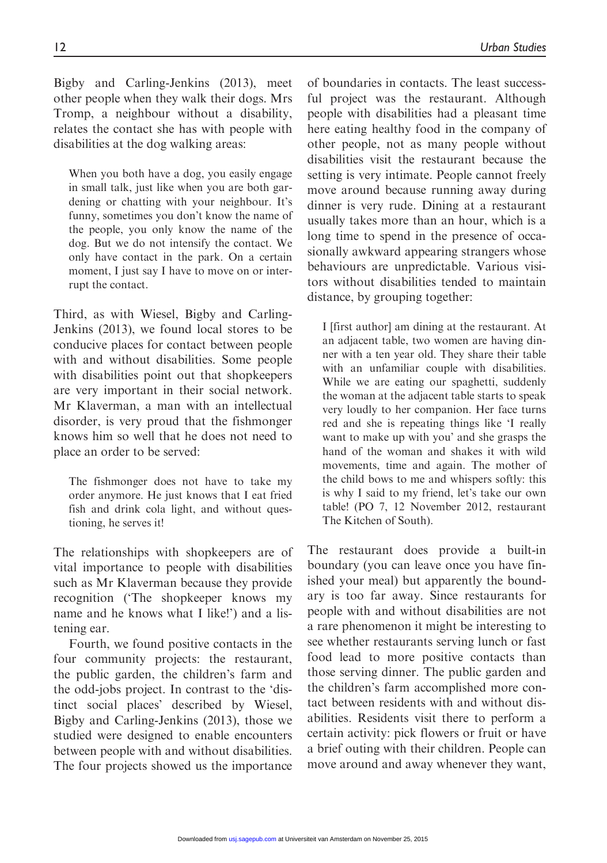Bigby and Carling-Jenkins (2013), meet other people when they walk their dogs. Mrs Tromp, a neighbour without a disability, relates the contact she has with people with disabilities at the dog walking areas:

When you both have a dog, you easily engage in small talk, just like when you are both gardening or chatting with your neighbour. It's funny, sometimes you don't know the name of the people, you only know the name of the dog. But we do not intensify the contact. We only have contact in the park. On a certain moment, I just say I have to move on or interrupt the contact.

Third, as with Wiesel, Bigby and Carling-Jenkins (2013), we found local stores to be conducive places for contact between people with and without disabilities. Some people with disabilities point out that shopkeepers are very important in their social network. Mr Klaverman, a man with an intellectual disorder, is very proud that the fishmonger knows him so well that he does not need to place an order to be served:

The fishmonger does not have to take my order anymore. He just knows that I eat fried fish and drink cola light, and without questioning, he serves it!

The relationships with shopkeepers are of vital importance to people with disabilities such as Mr Klaverman because they provide recognition ('The shopkeeper knows my name and he knows what I like!') and a listening ear.

Fourth, we found positive contacts in the four community projects: the restaurant, the public garden, the children's farm and the odd-jobs project. In contrast to the 'distinct social places' described [by Wies](http://usj.sagepub.com/)el, Bigby and Carling-Jenkins (2013), those we studied were designed to enable encounters between people with and without disabilities. The four projects showed us the importance of boundaries in contacts. The least successful project was the restaurant. Although people with disabilities had a pleasant time here eating healthy food in the company of other people, not as many people without disabilities visit the restaurant because the setting is very intimate. People cannot freely move around because running away during dinner is very rude. Dining at a restaurant usually takes more than an hour, which is a long time to spend in the presence of occasionally awkward appearing strangers whose behaviours are unpredictable. Various visitors without disabilities tended to maintain distance, by grouping together:

I [first author] am dining at the restaurant. At an adjacent table, two women are having dinner with a ten year old. They share their table with an unfamiliar couple with disabilities. While we are eating our spaghetti, suddenly the woman at the adjacent table starts to speak very loudly to her companion. Her face turns red and she is repeating things like 'I really want to make up with you' and she grasps the hand of the woman and shakes it with wild movements, time and again. The mother of the child bows to me and whispers softly: this is why I said to my friend, let's take our own table! (PO 7, 12 November 2012, restaurant The Kitchen of South).

The restaurant does provide a built-in boundary (you can leave once you have finished your meal) but apparently the boundary is too far away. Since restaurants for people with and without disabilities are not a rare phenomenon it might be interesting to see whether restaurants serving lunch or fast food lead to more positive contacts than those serving dinner. The public garden and the children's farm accomplished more contact between residents with and without disabilities. Residents visit there to perform a certain activity: pick flowers or fruit or have a brief outing with their children. People can move around and away whenever they want,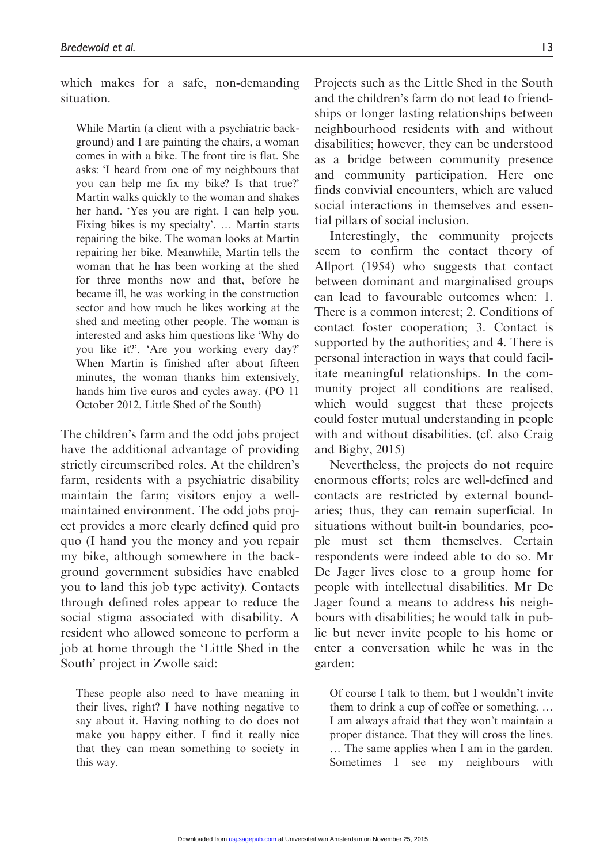which makes for a safe, non-demanding situation.

While Martin (a client with a psychiatric background) and I are painting the chairs, a woman comes in with a bike. The front tire is flat. She asks: 'I heard from one of my neighbours that you can help me fix my bike? Is that true?' Martin walks quickly to the woman and shakes her hand. 'Yes you are right. I can help you. Fixing bikes is my specialty'. ... Martin starts repairing the bike. The woman looks at Martin repairing her bike. Meanwhile, Martin tells the woman that he has been working at the shed for three months now and that, before he became ill, he was working in the construction sector and how much he likes working at the shed and meeting other people. The woman is interested and asks him questions like 'Why do you like it?', 'Are you working every day?' When Martin is finished after about fifteen minutes, the woman thanks him extensively, hands him five euros and cycles away. (PO 11 October 2012, Little Shed of the South)

The children's farm and the odd jobs project have the additional advantage of providing strictly circumscribed roles. At the children's farm, residents with a psychiatric disability maintain the farm; visitors enjoy a wellmaintained environment. The odd jobs project provides a more clearly defined quid pro quo (I hand you the money and you repair my bike, although somewhere in the background government subsidies have enabled you to land this job type activity). Contacts through defined roles appear to reduce the social stigma associated with disability. A resident who allowed someone to perform a job at home through the 'Little Shed in the South' project in Zwolle said:

These people also need to have meaning in their lives, right? I have nothi[ng negativ](http://usj.sagepub.com/)e to say about it. Having nothing to do does not make you happy either. I find it really nice that they can mean something to society in this way.

Projects such as the Little Shed in the South and the children's farm do not lead to friendships or longer lasting relationships between neighbourhood residents with and without disabilities; however, they can be understood as a bridge between community presence and community participation. Here one finds convivial encounters, which are valued social interactions in themselves and essential pillars of social inclusion.

Interestingly, the community projects seem to confirm the contact theory of Allport (1954) who suggests that contact between dominant and marginalised groups can lead to favourable outcomes when: 1. There is a common interest; 2. Conditions of contact foster cooperation; 3. Contact is supported by the authorities; and 4. There is personal interaction in ways that could facilitate meaningful relationships. In the community project all conditions are realised, which would suggest that these projects could foster mutual understanding in people with and without disabilities. (cf. also Craig and Bigby, 2015)

Nevertheless, the projects do not require enormous efforts; roles are well-defined and contacts are restricted by external boundaries; thus, they can remain superficial. In situations without built-in boundaries, people must set them themselves. Certain respondents were indeed able to do so. Mr De Jager lives close to a group home for people with intellectual disabilities. Mr De Jager found a means to address his neighbours with disabilities; he would talk in public but never invite people to his home or enter a conversation while he was in the garden:

Of course I talk to them, but I wouldn't invite them to drink a cup of coffee or something. . I am always afraid that they won't maintain a proper distance. That they will cross the lines. ... The same applies when I am in the garden. Sometimes I see my neighbours with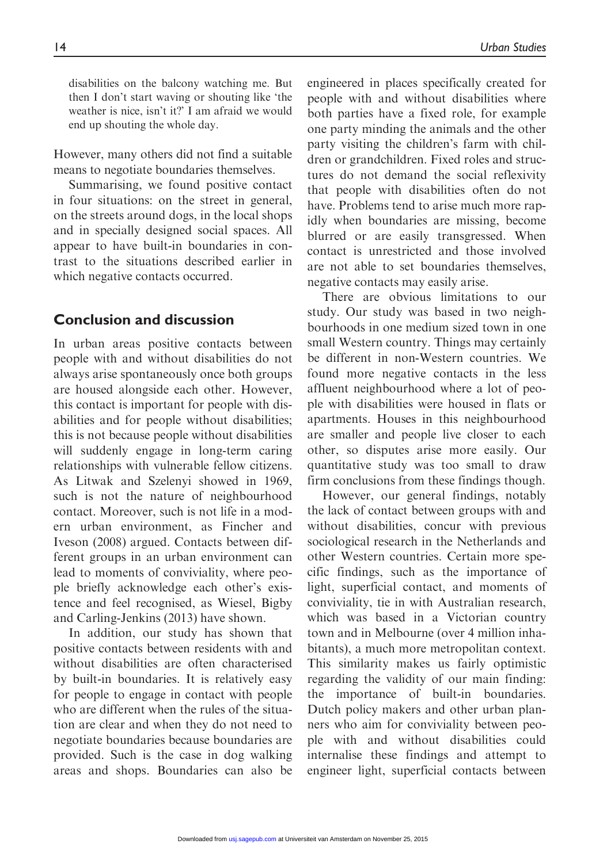disabilities on the balcony watching me. But then I don't start waving or shouting like 'the weather is nice, isn't it?' I am afraid we would end up shouting the whole day.

However, many others did not find a suitable means to negotiate boundaries themselves.

Summarising, we found positive contact in four situations: on the street in general, on the streets around dogs, in the local shops and in specially designed social spaces. All appear to have built-in boundaries in contrast to the situations described earlier in which negative contacts occurred.

# Conclusion and discussion

In urban areas positive contacts between people with and without disabilities do not always arise spontaneously once both groups are housed alongside each other. However, this contact is important for people with disabilities and for people without disabilities; this is not because people without disabilities will suddenly engage in long-term caring relationships with vulnerable fellow citizens. As Litwak and Szelenyi showed in 1969, such is not the nature of neighbourhood contact. Moreover, such is not life in a modern urban environment, as Fincher and Iveson (2008) argued. Contacts between different groups in an urban environment can lead to moments of conviviality, where people briefly acknowledge each other's existence and feel recognised, as Wiesel, Bigby and Carling-Jenkins (2013) have shown.

In addition, our study has shown that positive contacts between residents with and without disabilities are often characterised by built-in boundaries. It is relatively easy for people to engage in contact with people who are different when the rules [of](http://usj.sagepub.com/) [the](http://usj.sagepub.com/) [situ](http://usj.sagepub.com/)ation are clear and when they do not need to negotiate boundaries because boundaries are provided. Such is the case in dog walking areas and shops. Boundaries can also be

engineered in places specifically created for people with and without disabilities where both parties have a fixed role, for example one party minding the animals and the other party visiting the children's farm with children or grandchildren. Fixed roles and structures do not demand the social reflexivity that people with disabilities often do not have. Problems tend to arise much more rapidly when boundaries are missing, become blurred or are easily transgressed. When contact is unrestricted and those involved are not able to set boundaries themselves, negative contacts may easily arise.

There are obvious limitations to our study. Our study was based in two neighbourhoods in one medium sized town in one small Western country. Things may certainly be different in non-Western countries. We found more negative contacts in the less affluent neighbourhood where a lot of people with disabilities were housed in flats or apartments. Houses in this neighbourhood are smaller and people live closer to each other, so disputes arise more easily. Our quantitative study was too small to draw firm conclusions from these findings though.

However, our general findings, notably the lack of contact between groups with and without disabilities, concur with previous sociological research in the Netherlands and other Western countries. Certain more specific findings, such as the importance of light, superficial contact, and moments of conviviality, tie in with Australian research, which was based in a Victorian country town and in Melbourne (over 4 million inhabitants), a much more metropolitan context. This similarity makes us fairly optimistic regarding the validity of our main finding: the importance of built-in boundaries. Dutch policy makers and other urban planners who aim for conviviality between people with and without disabilities could internalise these findings and attempt to engineer light, superficial contacts between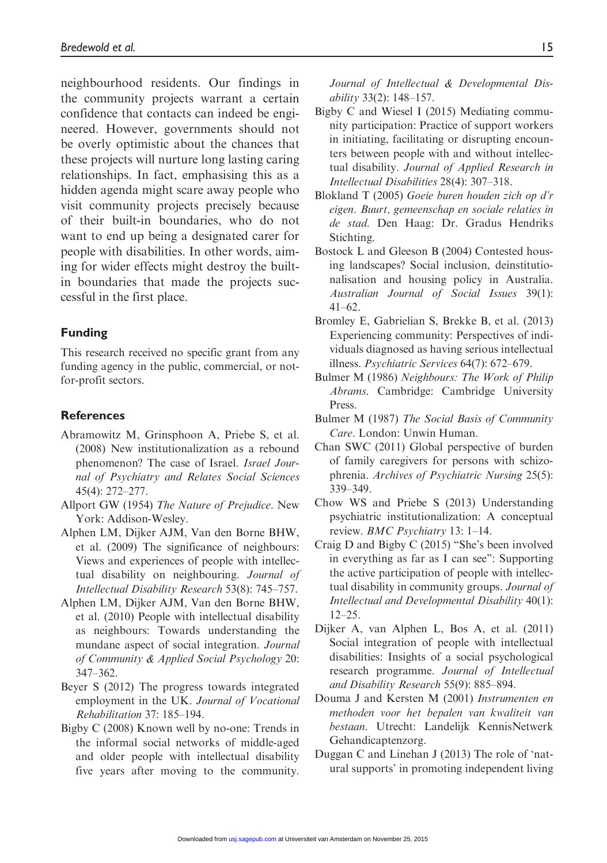neighbourhood residents. Our findings in the community projects warrant a certain confidence that contacts can indeed be engineered. However, governments should not be overly optimistic about the chances that these projects will nurture long lasting caring relationships. In fact, emphasising this as a hidden agenda might scare away people who visit community projects precisely because of their built-in boundaries, who do not want to end up being a designated carer for people with disabilities. In other words, aiming for wider effects might destroy the builtin boundaries that made the projects successful in the first place.

#### Funding

This research received no specific grant from any funding agency in the public, commercial, or notfor-profit sectors.

## **References**

- Abramowitz M, Grinsphoon A, Priebe S, et al. (2008) New institutionalization as a rebound phenomenon? The case of Israel. Israel Journal of Psychiatry and Relates Social Sciences 45(4): 272–277.
- Allport GW (1954) The Nature of Prejudice. New York: Addison-Wesley.
- Alphen LM, Dijker AJM, Van den Borne BHW, et al. (2009) The significance of neighbours: Views and experiences of people with intellectual disability on neighbouring. Journal of Intellectual Disability Research 53(8): 745–757.
- Alphen LM, Dijker AJM, Van den Borne BHW, et al. (2010) People with intellectual disability as neighbours: Towards understanding the mundane aspect of social integration. Journal of Community & Applied Social Psychology 20: 347–362.
- Beyer S (2012) The progress towards integrated employment in the UK. Journ[al of Vocati](http://usj.sagepub.com/)onal Rehabilitation 37: 185–194.
- Bigby C (2008) Known well by no-one: Trends in the informal social networks of middle-aged and older people with intellectual disability five years after moving to the community.

Journal of Intellectual & Developmental Disability 33(2): 148–157.

- Bigby C and Wiesel I (2015) Mediating community participation: Practice of support workers in initiating, facilitating or disrupting encounters between people with and without intellectual disability. Journal of Applied Research in Intellectual Disabilities 28(4): 307–318.
- Blokland T (2005) Goeie buren houden zich op d'r eigen. Buurt, gemeenschap en sociale relaties in de stad. Den Haag: Dr. Gradus Hendriks Stichting.
- Bostock L and Gleeson B (2004) Contested housing landscapes? Social inclusion, deinstitutionalisation and housing policy in Australia. Australian Journal of Social Issues 39(1): 41–62.
- Bromley E, Gabrielian S, Brekke B, et al. (2013) Experiencing community: Perspectives of individuals diagnosed as having serious intellectual illness. Psychiatric Services 64(7): 672–679.
- Bulmer M (1986) Neighbours: The Work of Philip Abrams. Cambridge: Cambridge University Press.
- Bulmer M (1987) The Social Basis of Community Care. London: Unwin Human.
- Chan SWC (2011) Global perspective of burden of family caregivers for persons with schizophrenia. Archives of Psychiatric Nursing 25(5): 339–349.
- Chow WS and Priebe S (2013) Understanding psychiatric institutionalization: A conceptual review. BMC Psychiatry 13: 1–14.
- Craig D and Bigby C (2015) ''She's been involved in everything as far as I can see'': Supporting the active participation of people with intellectual disability in community groups. Journal of Intellectual and Developmental Disability 40(1): 12–25.
- Dijker A, van Alphen L, Bos A, et al. (2011) Social integration of people with intellectual disabilities: Insights of a social psychological research programme. Journal of Intellectual and Disability Research 55(9): 885–894.
- Douma J and Kersten M (2001) Instrumenten en methoden voor het bepalen van kwaliteit van bestaan. Utrecht: Landelijk KennisNetwerk Gehandicaptenzorg.
- Duggan C and Linehan J (2013) The role of 'natural supports' in promoting independent living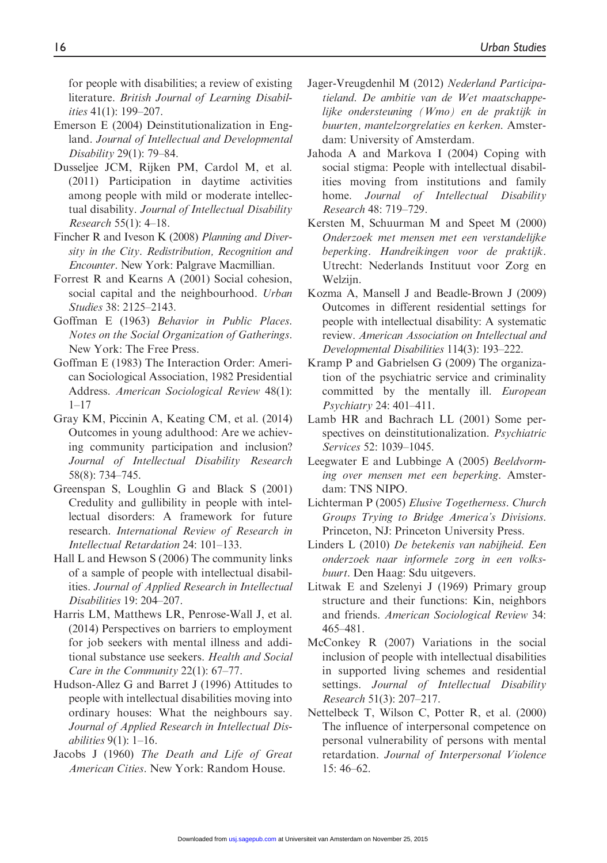for people with disabilities; a review of existing literature. British Journal of Learning Disabilities 41(1): 199–207.

- Emerson E (2004) Deinstitutionalization in England. Journal of Intellectual and Developmental Disability 29(1): 79–84.
- Dusseljee JCM, Rijken PM, Cardol M, et al. (2011) Participation in daytime activities among people with mild or moderate intellectual disability. Journal of Intellectual Disability Research 55(1): 4–18.
- Fincher R and Iveson K (2008) Planning and Diversity in the City. Redistribution, Recognition and Encounter. New York: Palgrave Macmillian.
- Forrest R and Kearns A (2001) Social cohesion, social capital and the neighbourhood. Urban Studies 38: 2125–2143.
- Goffman E (1963) Behavior in Public Places. Notes on the Social Organization of Gatherings. New York: The Free Press.
- Goffman E (1983) The Interaction Order: American Sociological Association, 1982 Presidential Address. American Sociological Review 48(1): 1–17
- Gray KM, Piccinin A, Keating CM, et al. (2014) Outcomes in young adulthood: Are we achieving community participation and inclusion? Journal of Intellectual Disability Research 58(8): 734–745.
- Greenspan S, Loughlin G and Black S (2001) Credulity and gullibility in people with intellectual disorders: A framework for future research. International Review of Research in Intellectual Retardation 24: 101–133.
- Hall L and Hewson S (2006) The community links of a sample of people with intellectual disabilities. Journal of Applied Research in Intellectual Disabilities 19: 204–207.
- Harris LM, Matthews LR, Penrose-Wall J, et al. (2014) Perspectives on barriers to employment for job seekers with mental illness and additional substance use seekers. Health and Social Care in the Community 22(1): 67–77.
- Hudson-Allez G and Barret J (1996) Attitudes to people with intellectual disabilities moving into ordinary houses: What the ne[ighbours](http://usj.sagepub.com/) [sa](http://usj.sagepub.com/)y. Journal of Applied Research in Intellectual Disabilities 9(1): 1–16.
- Jacobs J (1960) The Death and Life of Great American Cities. New York: Random House.
- Jager-Vreugdenhil M (2012) Nederland Participatieland. De ambitie van de Wet maatschappelijke ondersteuning (Wmo) en de praktijk in buurten, mantelzorgrelaties en kerken. Amsterdam: University of Amsterdam.
- Jahoda A and Markova I (2004) Coping with social stigma: People with intellectual disabilities moving from institutions and family home. Journal of Intellectual Disability Research 48: 719–729.
- Kersten M, Schuurman M and Speet M (2000) Onderzoek met mensen met een verstandelijke beperking. Handreikingen voor de praktijk. Utrecht: Nederlands Instituut voor Zorg en Welzijn.
- Kozma A, Mansell J and Beadle-Brown J (2009) Outcomes in different residential settings for people with intellectual disability: A systematic review. American Association on Intellectual and Developmental Disabilities 114(3): 193–222.
- Kramp P and Gabrielsen G (2009) The organization of the psychiatric service and criminality committed by the mentally ill. European Psychiatry 24: 401–411.
- Lamb HR and Bachrach LL (2001) Some perspectives on deinstitutionalization. Psychiatric Services 52: 1039–1045.
- Leegwater E and Lubbinge A (2005) Beeldvorming over mensen met een beperking. Amsterdam: TNS NIPO.
- Lichterman P (2005) Elusive Togetherness. Church Groups Trying to Bridge America's Divisions. Princeton, NJ: Princeton University Press.
- Linders L (2010) De betekenis van nabijheid. Een onderzoek naar informele zorg in een volksbuurt. Den Haag: Sdu uitgevers.
- Litwak E and Szelenyi J (1969) Primary group structure and their functions: Kin, neighbors and friends. American Sociological Review 34: 465–481.
- McConkey R (2007) Variations in the social inclusion of people with intellectual disabilities in supported living schemes and residential settings. Journal of Intellectual Disability Research 51(3): 207–217.
- Nettelbeck T, Wilson C, Potter R, et al. (2000) The influence of interpersonal competence on personal vulnerability of persons with mental retardation. Journal of Interpersonal Violence 15: 46–62.